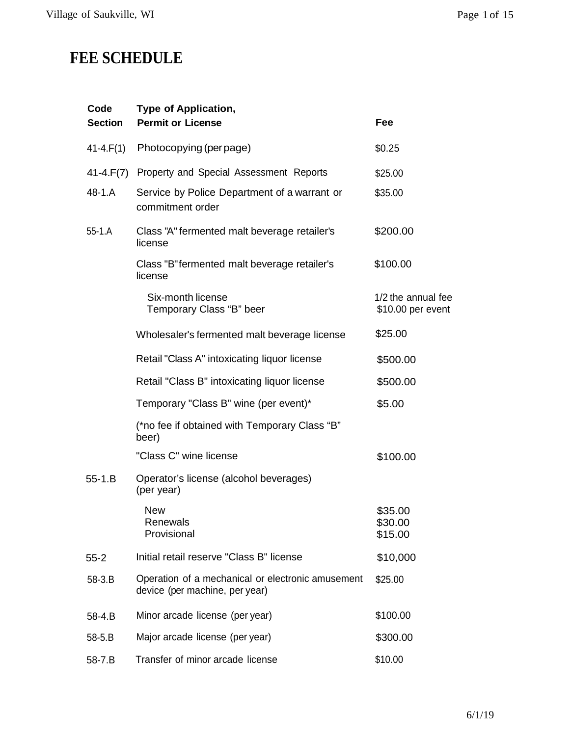## **FEE SCHEDULE**

| Code<br><b>Section</b> | <b>Type of Application,</b><br><b>Permit or License</b>                             | Fee                                     |
|------------------------|-------------------------------------------------------------------------------------|-----------------------------------------|
| $41 - 4. F(1)$         | Photocopying (per page)                                                             | \$0.25                                  |
| 41-4.F(7)              | Property and Special Assessment Reports                                             | \$25.00                                 |
| 48-1.A                 | Service by Police Department of a warrant or<br>commitment order                    | \$35.00                                 |
| $55 - 1.A$             | Class "A" fermented malt beverage retailer's<br>license                             | \$200.00                                |
|                        | Class "B" fermented malt beverage retailer's<br>license                             | \$100.00                                |
|                        | Six-month license<br>Temporary Class "B" beer                                       | 1/2 the annual fee<br>\$10.00 per event |
|                        | Wholesaler's fermented malt beverage license                                        | \$25.00                                 |
|                        | Retail "Class A" intoxicating liquor license                                        | \$500.00                                |
|                        | Retail "Class B" intoxicating liquor license                                        | \$500.00                                |
|                        | Temporary "Class B" wine (per event)*                                               | \$5.00                                  |
|                        | (*no fee if obtained with Temporary Class "B"<br>beer)                              |                                         |
|                        | "Class C" wine license                                                              | \$100.00                                |
| $55 - 1.B$             | Operator's license (alcohol beverages)<br>(per year)                                |                                         |
|                        | <b>New</b><br>Renewals<br>Provisional                                               | \$35.00<br>\$30.00<br>\$15.00           |
| $55 - 2$               | Initial retail reserve "Class B" license                                            | \$10,000                                |
| 58-3.B                 | Operation of a mechanical or electronic amusement<br>device (per machine, per year) | \$25.00                                 |
| 58-4.B                 | Minor arcade license (per year)                                                     | \$100.00                                |
| 58-5.B                 | Major arcade license (per year)                                                     | \$300.00                                |
| 58-7.B                 | Transfer of minor arcade license                                                    | \$10.00                                 |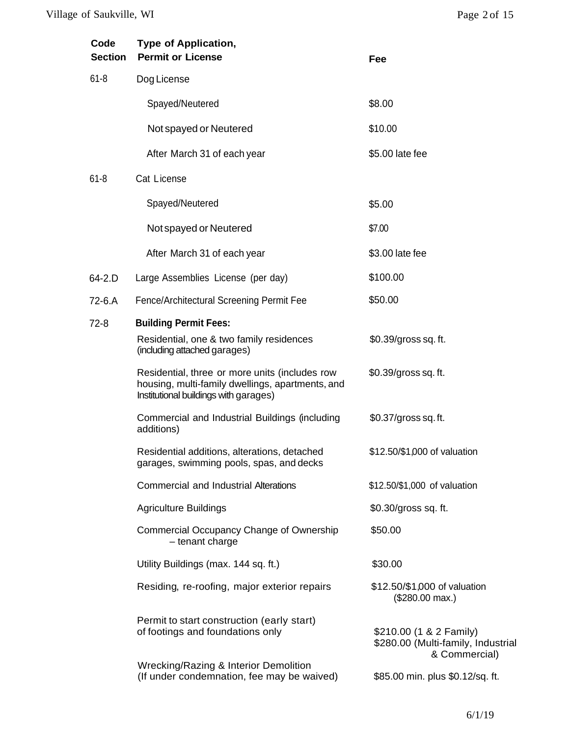| Code<br><b>Section</b> | <b>Type of Application,</b><br><b>Permit or License</b>                                                                                     | Fee                                                                            |
|------------------------|---------------------------------------------------------------------------------------------------------------------------------------------|--------------------------------------------------------------------------------|
| $61 - 8$               | Dog License                                                                                                                                 |                                                                                |
|                        | Spayed/Neutered                                                                                                                             | \$8.00                                                                         |
|                        | Not spayed or Neutered                                                                                                                      | \$10.00                                                                        |
|                        | After March 31 of each year                                                                                                                 | \$5.00 late fee                                                                |
| $61 - 8$               | Cat License                                                                                                                                 |                                                                                |
|                        | Spayed/Neutered                                                                                                                             | \$5.00                                                                         |
|                        | Not spayed or Neutered                                                                                                                      | \$7.00                                                                         |
|                        | After March 31 of each year                                                                                                                 | \$3.00 late fee                                                                |
| 64-2.D                 | Large Assemblies License (per day)                                                                                                          | \$100.00                                                                       |
| 72-6.A                 | Fence/Architectural Screening Permit Fee                                                                                                    | \$50.00                                                                        |
| $72-8$                 | <b>Building Permit Fees:</b>                                                                                                                |                                                                                |
|                        | Residential, one & two family residences<br>(including attached garages)                                                                    | \$0.39/gross sq. ft.                                                           |
|                        | Residential, three or more units (includes row<br>housing, multi-family dwellings, apartments, and<br>Institutional buildings with garages) | \$0.39/gross sq. ft.                                                           |
|                        | Commercial and Industrial Buildings (including<br>additions)                                                                                | \$0.37/gross sq. ft.                                                           |
|                        | Residential additions, alterations, detached<br>garages, swimming pools, spas, and decks                                                    | \$12.50/\$1,000 of valuation                                                   |
|                        | <b>Commercial and Industrial Alterations</b>                                                                                                | \$12.50/\$1,000 of valuation                                                   |
|                        | <b>Agriculture Buildings</b>                                                                                                                | \$0.30/gross sq. ft.                                                           |
|                        | Commercial Occupancy Change of Ownership<br>- tenant charge                                                                                 | \$50.00                                                                        |
|                        | Utility Buildings (max. 144 sq. ft.)                                                                                                        | \$30.00                                                                        |
|                        | Residing, re-roofing, major exterior repairs                                                                                                | \$12.50/\$1,000 of valuation<br>$($280.00 \text{ max.})$                       |
|                        | Permit to start construction (early start)<br>of footings and foundations only                                                              | \$210.00 (1 & 2 Family)<br>\$280.00 (Multi-family, Industrial<br>& Commercial) |
|                        | Wrecking/Razing & Interior Demolition<br>(If under condemnation, fee may be waived)                                                         | \$85.00 min. plus \$0.12/sq. ft.                                               |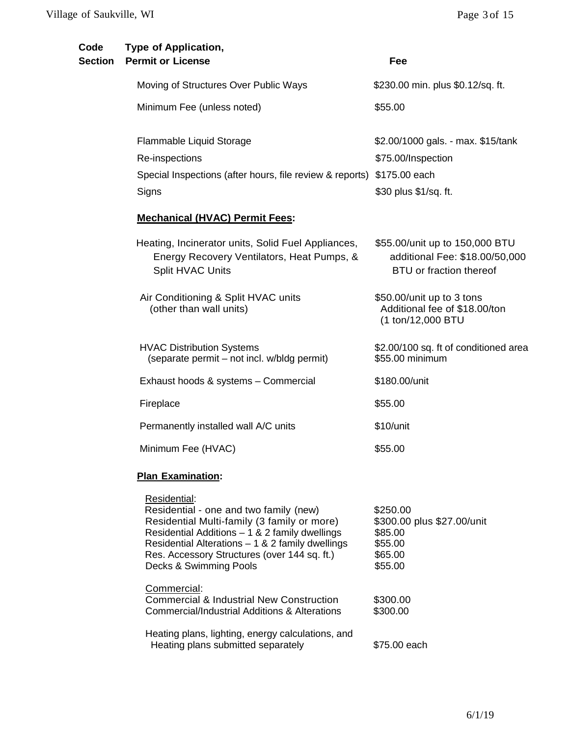| Code<br><b>Section</b> | <b>Type of Application,</b><br><b>Permit or License</b>                                                                                                                                                                                                                                 | Fee                                                                                         |
|------------------------|-----------------------------------------------------------------------------------------------------------------------------------------------------------------------------------------------------------------------------------------------------------------------------------------|---------------------------------------------------------------------------------------------|
|                        | Moving of Structures Over Public Ways                                                                                                                                                                                                                                                   | \$230.00 min. plus \$0.12/sq. ft.                                                           |
|                        | Minimum Fee (unless noted)                                                                                                                                                                                                                                                              | \$55.00                                                                                     |
|                        | Flammable Liquid Storage<br>Re-inspections                                                                                                                                                                                                                                              | \$2.00/1000 gals. - max. \$15/tank<br>\$75.00/Inspection                                    |
|                        | Special Inspections (after hours, file review & reports) \$175.00 each<br>Signs                                                                                                                                                                                                         | \$30 plus \$1/sq. ft.                                                                       |
|                        | <b>Mechanical (HVAC) Permit Fees:</b>                                                                                                                                                                                                                                                   |                                                                                             |
|                        | Heating, Incinerator units, Solid Fuel Appliances,<br>Energy Recovery Ventilators, Heat Pumps, &<br>Split HVAC Units                                                                                                                                                                    | \$55.00/unit up to 150,000 BTU<br>additional Fee: \$18.00/50,000<br>BTU or fraction thereof |
|                        | Air Conditioning & Split HVAC units<br>(other than wall units)                                                                                                                                                                                                                          | \$50.00/unit up to 3 tons<br>Additional fee of \$18.00/ton<br>(1 ton/12,000 BTU             |
|                        | <b>HVAC Distribution Systems</b><br>(separate permit – not incl. w/bldg permit)                                                                                                                                                                                                         | \$2.00/100 sq. ft of conditioned area<br>\$55.00 minimum                                    |
|                        | Exhaust hoods & systems - Commercial                                                                                                                                                                                                                                                    | \$180.00/unit                                                                               |
|                        | Fireplace                                                                                                                                                                                                                                                                               | \$55.00                                                                                     |
|                        | Permanently installed wall A/C units                                                                                                                                                                                                                                                    | \$10/unit                                                                                   |
|                        | Minimum Fee (HVAC)                                                                                                                                                                                                                                                                      | \$55.00                                                                                     |
|                        | <b>Plan Examination:</b>                                                                                                                                                                                                                                                                |                                                                                             |
|                        | Residential:<br>Residential - one and two family (new)<br>Residential Multi-family (3 family or more)<br>Residential Additions $-1$ & 2 family dwellings<br>Residential Alterations $-1$ & 2 family dwellings<br>Res. Accessory Structures (over 144 sq. ft.)<br>Decks & Swimming Pools | \$250.00<br>\$300.00 plus \$27.00/unit<br>\$85.00<br>\$55.00<br>\$65.00<br>\$55.00          |
|                        | Commercial:<br><b>Commercial &amp; Industrial New Construction</b><br>Commercial/Industrial Additions & Alterations                                                                                                                                                                     | \$300.00<br>\$300.00                                                                        |
|                        | Heating plans, lighting, energy calculations, and<br>Heating plans submitted separately                                                                                                                                                                                                 | \$75.00 each                                                                                |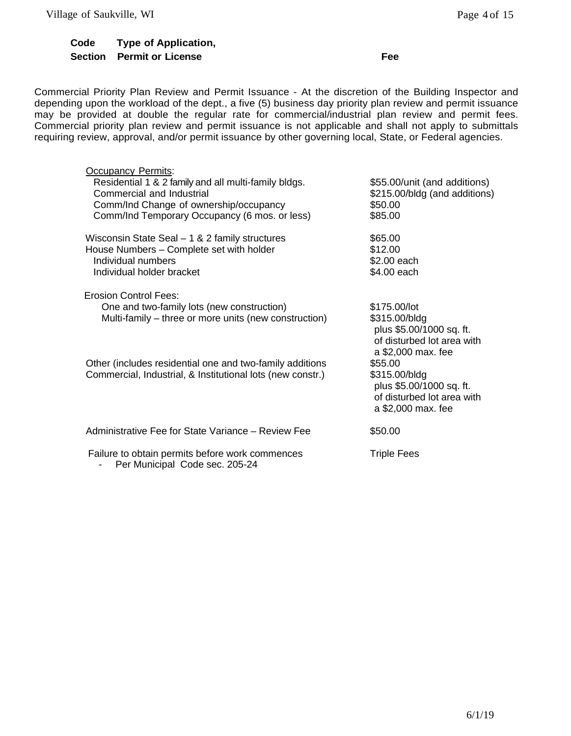## **Code Section Permit or License FeeType of Application,**

Commercial Priority Plan Review and Permit Issuance - At the discretion of the Building Inspector and depending upon the workload of the dept., a five (5) business day priority plan review and permit issuance may be provided at double the regular rate for commercial/industrial plan review and permit fees. Commercial priority plan review and permit issuance is not applicable and shall not apply to submittals requiring review, approval, and/or permit issuance by other governing local, State, or Federal agencies.

| <b>Occupancy Permits:</b><br>Residential 1 & 2 family and all multi-family bldgs.<br>Commercial and Industrial<br>Comm/Ind Change of ownership/occupancy<br>Comm/Ind Temporary Occupancy (6 mos. or less) |                                                       | \$55.00/unit (and additions)<br>\$215.00/bldg (and additions)<br>\$50.00<br>\$85.00                           |
|-----------------------------------------------------------------------------------------------------------------------------------------------------------------------------------------------------------|-------------------------------------------------------|---------------------------------------------------------------------------------------------------------------|
| Wisconsin State Seal $-1$ & 2 family structures<br>House Numbers - Complete set with holder<br>Individual numbers<br>Individual holder bracket                                                            |                                                       | \$65.00<br>\$12.00<br>\$2.00 each<br>\$4.00 each                                                              |
| Erosion Control Fees:<br>One and two-family lots (new construction)                                                                                                                                       | Multi-family – three or more units (new construction) | \$175.00/lot<br>\$315.00/bldg<br>plus \$5.00/1000 sq. ft.<br>of disturbed lot area with<br>a \$2,000 max. fee |
| Other (includes residential one and two-family additions<br>Commercial, Industrial, & Institutional lots (new constr.)                                                                                    |                                                       | \$55.00<br>\$315.00/bldg<br>plus \$5.00/1000 sq. ft.<br>of disturbed lot area with<br>a \$2,000 max. fee      |
| Administrative Fee for State Variance – Review Fee                                                                                                                                                        |                                                       | \$50.00                                                                                                       |
| Failure to obtain permits before work commences<br>Per Municipal Code sec. 205-24                                                                                                                         |                                                       | <b>Triple Fees</b>                                                                                            |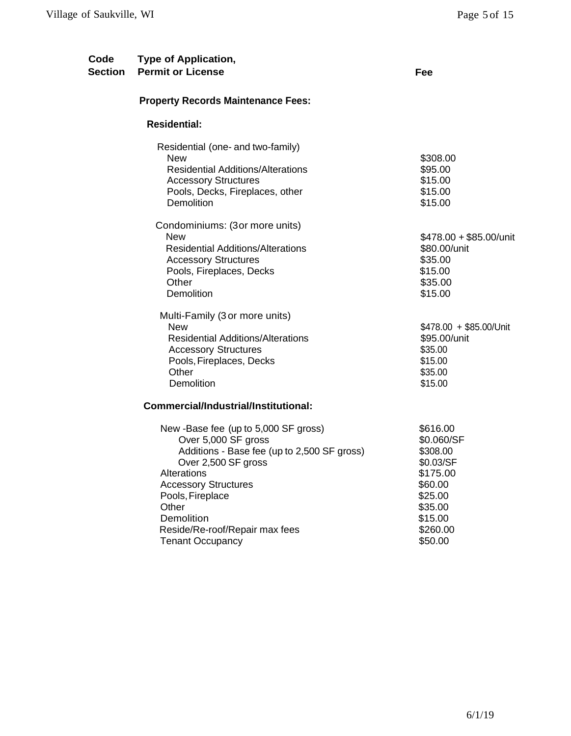| Code<br>Section | <b>Type of Application,</b><br><b>Permit or License</b>                                                                                                                                                                                                                                 | Fee                                                                                                                            |
|-----------------|-----------------------------------------------------------------------------------------------------------------------------------------------------------------------------------------------------------------------------------------------------------------------------------------|--------------------------------------------------------------------------------------------------------------------------------|
|                 | <b>Property Records Maintenance Fees:</b>                                                                                                                                                                                                                                               |                                                                                                                                |
|                 | <b>Residential:</b>                                                                                                                                                                                                                                                                     |                                                                                                                                |
|                 | Residential (one- and two-family)<br><b>New</b><br><b>Residential Additions/Alterations</b><br><b>Accessory Structures</b><br>Pools, Decks, Fireplaces, other<br>Demolition                                                                                                             | \$308.00<br>\$95.00<br>\$15.00<br>\$15.00<br>\$15.00                                                                           |
|                 | Condominiums: (3or more units)<br><b>New</b><br><b>Residential Additions/Alterations</b><br><b>Accessory Structures</b><br>Pools, Fireplaces, Decks<br>Other<br>Demolition                                                                                                              | \$478.00 + \$85.00/unit<br>\$80.00/unit<br>\$35.00<br>\$15.00<br>\$35.00<br>\$15.00                                            |
|                 | Multi-Family (3 or more units)<br><b>New</b><br><b>Residential Additions/Alterations</b><br><b>Accessory Structures</b><br>Pools, Fireplaces, Decks<br>Other<br>Demolition                                                                                                              | \$478.00 + \$85.00/Unit<br>\$95.00/unit<br>\$35.00<br>\$15.00<br>\$35.00<br>\$15.00                                            |
|                 | Commercial/Industrial/Institutional:                                                                                                                                                                                                                                                    |                                                                                                                                |
|                 | New -Base fee (up to 5,000 SF gross)<br>Over 5,000 SF gross<br>Additions - Base fee (up to 2,500 SF gross)<br>Over 2,500 SF gross<br>Alterations<br><b>Accessory Structures</b><br>Pools, Fireplace<br>Other<br>Demolition<br>Reside/Re-roof/Repair max fees<br><b>Tenant Occupancy</b> | \$616.00<br>\$0.060/SF<br>\$308.00<br>\$0.03/SF<br>\$175.00<br>\$60.00<br>\$25.00<br>\$35.00<br>\$15.00<br>\$260.00<br>\$50.00 |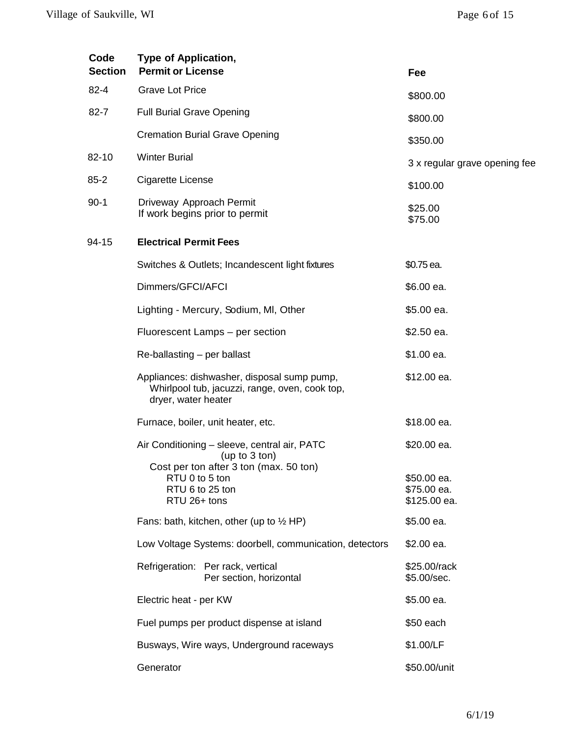| Code<br><b>Section</b> | <b>Type of Application,</b><br><b>Permit or License</b>                                                                                        | Fee                                       |
|------------------------|------------------------------------------------------------------------------------------------------------------------------------------------|-------------------------------------------|
| $82 - 4$               | <b>Grave Lot Price</b>                                                                                                                         | \$800.00                                  |
| $82 - 7$               | <b>Full Burial Grave Opening</b>                                                                                                               | \$800.00                                  |
|                        | <b>Cremation Burial Grave Opening</b>                                                                                                          | \$350.00                                  |
| 82-10                  | <b>Winter Burial</b>                                                                                                                           | 3 x regular grave opening fee             |
| $85 - 2$               | Cigarette License                                                                                                                              | \$100.00                                  |
| $90-1$                 | Driveway Approach Permit<br>If work begins prior to permit                                                                                     | \$25.00<br>\$75.00                        |
| 94-15                  | <b>Electrical Permit Fees</b>                                                                                                                  |                                           |
|                        | Switches & Outlets; Incandescent light fixtures                                                                                                | \$0.75 ea.                                |
|                        | Dimmers/GFCI/AFCI                                                                                                                              | \$6.00 ea.                                |
|                        | Lighting - Mercury, Sodium, MI, Other                                                                                                          | \$5.00 ea.                                |
|                        | Fluorescent Lamps - per section                                                                                                                | \$2.50 ea.                                |
|                        | Re-ballasting – per ballast                                                                                                                    | \$1.00 ea.                                |
|                        | Appliances: dishwasher, disposal sump pump,<br>Whirlpool tub, jacuzzi, range, oven, cook top,<br>dryer, water heater                           | \$12.00 ea.                               |
|                        | Furnace, boiler, unit heater, etc.                                                                                                             | \$18.00 ea.                               |
|                        | Air Conditioning - sleeve, central air, PATC<br>(up to $3$ ton)<br>Cost per ton after 3 ton (max. 50 ton)<br>RTU 0 to 5 ton<br>RTU 6 to 25 ton | \$20.00 ea.<br>\$50.00 ea.<br>\$75.00 ea. |
|                        | RTU 26+ tons                                                                                                                                   | \$125.00 ea.<br>\$5.00 ea.                |
|                        | Fans: bath, kitchen, other (up to $\frac{1}{2}$ HP)                                                                                            |                                           |
|                        | Low Voltage Systems: doorbell, communication, detectors                                                                                        | $$2.00$ ea.                               |
|                        | Refrigeration: Per rack, vertical<br>Per section, horizontal                                                                                   | \$25.00/rack<br>\$5.00/sec.               |
|                        | Electric heat - per KW                                                                                                                         | \$5.00 ea.                                |
|                        | Fuel pumps per product dispense at island                                                                                                      | \$50 each                                 |
|                        | Busways, Wire ways, Underground raceways                                                                                                       | \$1.00/LF                                 |
|                        | Generator                                                                                                                                      | \$50.00/unit                              |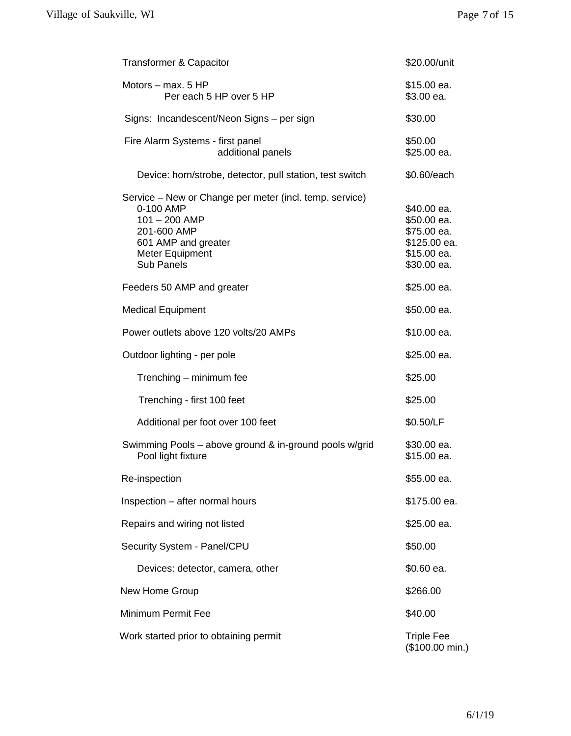| <b>Transformer &amp; Capacitor</b>                                                                                                                             | \$20.00/unit                                                                            |
|----------------------------------------------------------------------------------------------------------------------------------------------------------------|-----------------------------------------------------------------------------------------|
| Motors $-$ max, 5 HP<br>Per each 5 HP over 5 HP                                                                                                                | \$15.00 ea.<br>\$3.00 ea.                                                               |
| Signs: Incandescent/Neon Signs - per sign                                                                                                                      | \$30.00                                                                                 |
| Fire Alarm Systems - first panel<br>additional panels                                                                                                          | \$50.00<br>\$25.00 ea.                                                                  |
| Device: horn/strobe, detector, pull station, test switch                                                                                                       | \$0.60/each                                                                             |
| Service - New or Change per meter (incl. temp. service)<br>0-100 AMP<br>$101 - 200$ AMP<br>201-600 AMP<br>601 AMP and greater<br>Meter Equipment<br>Sub Panels | \$40.00 ea.<br>\$50.00 ea.<br>\$75.00 ea.<br>\$125.00 ea.<br>\$15.00 ea.<br>\$30.00 ea. |
| Feeders 50 AMP and greater                                                                                                                                     | \$25.00 ea.                                                                             |
| <b>Medical Equipment</b>                                                                                                                                       | \$50.00 ea.                                                                             |
| Power outlets above 120 volts/20 AMPs                                                                                                                          | \$10.00 ea.                                                                             |
| Outdoor lighting - per pole                                                                                                                                    | \$25.00 ea.                                                                             |
| Trenching - minimum fee                                                                                                                                        | \$25.00                                                                                 |
| Trenching - first 100 feet                                                                                                                                     | \$25.00                                                                                 |
| Additional per foot over 100 feet                                                                                                                              | \$0.50/LF                                                                               |
| Swimming Pools - above ground & in-ground pools w/grid<br>Pool light fixture                                                                                   | \$30.00 ea.<br>\$15.00 ea.                                                              |
| Re-inspection                                                                                                                                                  | \$55.00 ea.                                                                             |
| Inspection - after normal hours                                                                                                                                | \$175.00 ea.                                                                            |
| Repairs and wiring not listed                                                                                                                                  | \$25.00 ea.                                                                             |
| Security System - Panel/CPU                                                                                                                                    | \$50.00                                                                                 |
| Devices: detector, camera, other                                                                                                                               | \$0.60 ea.                                                                              |
| New Home Group                                                                                                                                                 | \$266.00                                                                                |
| Minimum Permit Fee                                                                                                                                             | \$40.00                                                                                 |
| Work started prior to obtaining permit                                                                                                                         | <b>Triple Fee</b><br>(\$100.00 min.)                                                    |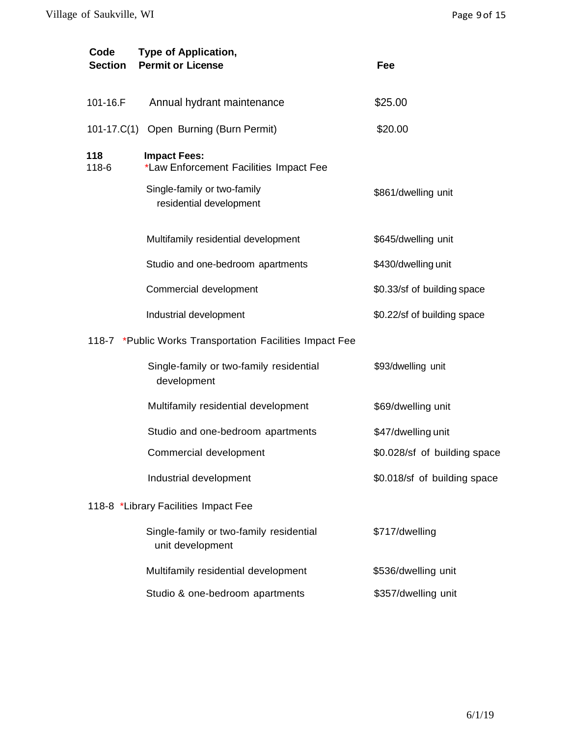| Code<br><b>Section</b> | <b>Type of Application,</b><br><b>Permit or License</b>       | Fee                          |
|------------------------|---------------------------------------------------------------|------------------------------|
| 101-16.F               | Annual hydrant maintenance                                    | \$25.00                      |
|                        | 101-17.C(1) Open Burning (Burn Permit)                        | \$20.00                      |
| 118<br>118-6           | <b>Impact Fees:</b><br>*Law Enforcement Facilities Impact Fee |                              |
|                        | Single-family or two-family<br>residential development        | \$861/dwelling unit          |
|                        | Multifamily residential development                           | \$645/dwelling unit          |
|                        | Studio and one-bedroom apartments                             | \$430/dwelling unit          |
|                        | Commercial development                                        | \$0.33/sf of building space  |
|                        | Industrial development                                        | \$0.22/sf of building space  |
|                        | 118-7 *Public Works Transportation Facilities Impact Fee      |                              |
|                        | Single-family or two-family residential<br>development        | \$93/dwelling unit           |
|                        | Multifamily residential development                           | \$69/dwelling unit           |
|                        | Studio and one-bedroom apartments                             | \$47/dwelling unit           |
|                        | Commercial development                                        | \$0.028/sf of building space |
|                        | Industrial development                                        | \$0.018/sf of building space |
|                        | 118-8 *Library Facilities Impact Fee                          |                              |
|                        | Single-family or two-family residential<br>unit development   | \$717/dwelling               |
|                        | Multifamily residential development                           | \$536/dwelling unit          |
|                        | Studio & one-bedroom apartments                               | \$357/dwelling unit          |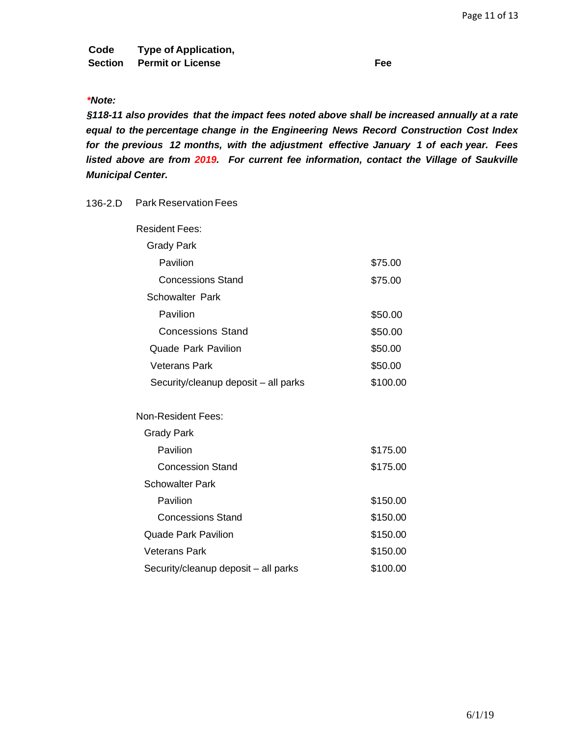**Code Type of Application, Section Permit or License Fee**

## *\*Note:*

*§118-11 also provides that the impact fees noted above shall be increased annually at a rate equal to the percentage change in the Engineering News Record Construction Cost Index for the previous 12 months, with the adjustment effective January 1 of each year. Fees listed above are from 2019. For current fee information, contact the Village of Saukville Municipal Center.*

## 136-2.D Park Reservation Fees

| <b>Resident Fees:</b>                |          |
|--------------------------------------|----------|
| <b>Grady Park</b>                    |          |
| Pavilion                             | \$75.00  |
| <b>Concessions Stand</b>             | \$75.00  |
| <b>Schowalter Park</b>               |          |
| Pavilion                             | \$50.00  |
| <b>Concessions Stand</b>             | \$50.00  |
| <b>Quade Park Pavilion</b>           | \$50.00  |
| Veterans Park                        | \$50.00  |
| Security/cleanup deposit – all parks | \$100.00 |
| <b>Non-Resident Fees:</b>            |          |
| Grady Park                           |          |
| Pavilion                             | \$175.00 |
| <b>Concession Stand</b>              | \$175.00 |
| <b>Schowalter Park</b>               |          |
| Pavilion                             | \$150.00 |
| <b>Concessions Stand</b>             | \$150.00 |
| Quade Park Pavilion                  | \$150.00 |
| <b>Veterans Park</b>                 | \$150.00 |
| Security/cleanup deposit - all parks | \$100.00 |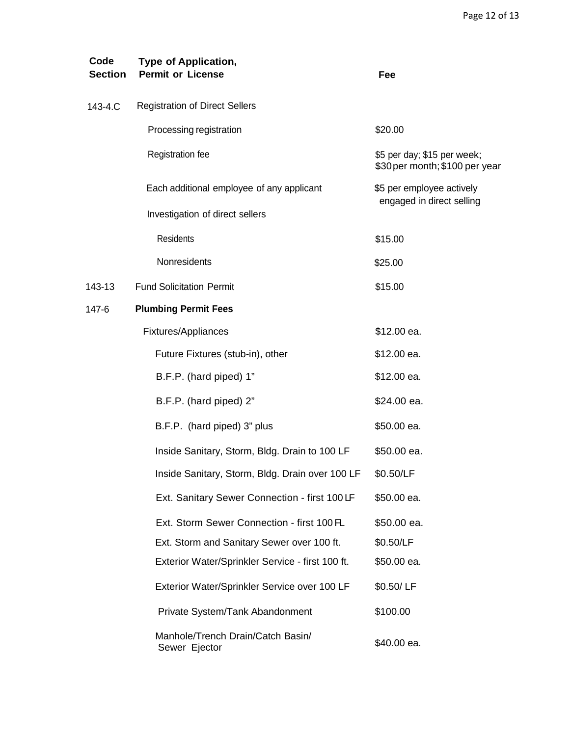| Code<br><b>Section</b> | <b>Type of Application,</b><br><b>Permit or License</b> | Fee                                                           |
|------------------------|---------------------------------------------------------|---------------------------------------------------------------|
| 143-4.C                | <b>Registration of Direct Sellers</b>                   |                                                               |
|                        | Processing registration                                 | \$20.00                                                       |
|                        | Registration fee                                        | \$5 per day; \$15 per week;<br>\$30 per month; \$100 per year |
|                        | Each additional employee of any applicant               | \$5 per employee actively<br>engaged in direct selling        |
|                        | Investigation of direct sellers                         |                                                               |
|                        | Residents                                               | \$15.00                                                       |
|                        | Nonresidents                                            | \$25.00                                                       |
| 143-13                 | <b>Fund Solicitation Permit</b>                         | \$15.00                                                       |
| 147-6                  | <b>Plumbing Permit Fees</b>                             |                                                               |
|                        | Fixtures/Appliances                                     | \$12.00 ea.                                                   |
|                        | Future Fixtures (stub-in), other                        | \$12.00 ea.                                                   |
|                        | B.F.P. (hard piped) 1"                                  | \$12.00 ea.                                                   |
|                        | B.F.P. (hard piped) 2"                                  | \$24.00 ea.                                                   |
|                        | B.F.P. (hard piped) 3" plus                             | \$50.00 ea.                                                   |
|                        | Inside Sanitary, Storm, Bldg. Drain to 100 LF           | \$50.00 ea.                                                   |
|                        | Inside Sanitary, Storm, Bldg. Drain over 100 LF         | \$0.50/LF                                                     |
|                        | Ext. Sanitary Sewer Connection - first 100 LF           | \$50.00 ea.                                                   |
|                        | Ext. Storm Sewer Connection - first 100 FL              | \$50.00 ea.                                                   |
|                        | Ext. Storm and Sanitary Sewer over 100 ft.              | \$0.50/LF                                                     |
|                        | Exterior Water/Sprinkler Service - first 100 ft.        | \$50.00 ea.                                                   |
|                        | Exterior Water/Sprinkler Service over 100 LF            | \$0.50/LF                                                     |
|                        | Private System/Tank Abandonment                         | \$100.00                                                      |
|                        | Manhole/Trench Drain/Catch Basin/<br>Sewer Ejector      | \$40.00 ea.                                                   |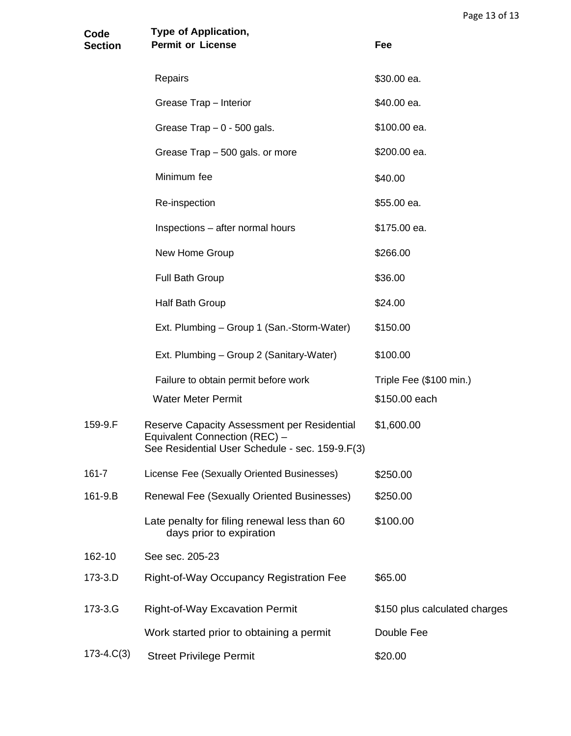| Code<br><b>Section</b> | <b>Type of Application,</b><br><b>Permit or License</b>                                                                         | Fee                           |
|------------------------|---------------------------------------------------------------------------------------------------------------------------------|-------------------------------|
|                        | Repairs                                                                                                                         | \$30.00 ea.                   |
|                        | Grease Trap - Interior                                                                                                          | \$40.00 ea.                   |
|                        | Grease Trap $-0$ - 500 gals.                                                                                                    | \$100.00 ea.                  |
|                        | Grease Trap - 500 gals. or more                                                                                                 | \$200.00 ea.                  |
|                        | Minimum fee                                                                                                                     | \$40.00                       |
|                        | Re-inspection                                                                                                                   | \$55.00 ea.                   |
|                        | Inspections - after normal hours                                                                                                | \$175.00 ea.                  |
|                        | New Home Group                                                                                                                  | \$266.00                      |
|                        | Full Bath Group                                                                                                                 | \$36.00                       |
|                        | Half Bath Group                                                                                                                 | \$24.00                       |
|                        | Ext. Plumbing - Group 1 (San.-Storm-Water)                                                                                      | \$150.00                      |
|                        | Ext. Plumbing - Group 2 (Sanitary-Water)                                                                                        | \$100.00                      |
|                        | Failure to obtain permit before work                                                                                            | Triple Fee (\$100 min.)       |
|                        | <b>Water Meter Permit</b>                                                                                                       | \$150.00 each                 |
| 159-9.F                | Reserve Capacity Assessment per Residential<br>Equivalent Connection (REC) -<br>See Residential User Schedule - sec. 159-9.F(3) | \$1,600.00                    |
| 161-7                  | License Fee (Sexually Oriented Businesses)                                                                                      | \$250.00                      |
| 161-9.B                | Renewal Fee (Sexually Oriented Businesses)                                                                                      | \$250.00                      |
|                        | Late penalty for filing renewal less than 60<br>days prior to expiration                                                        | \$100.00                      |
| 162-10                 | See sec. 205-23                                                                                                                 |                               |
| 173-3.D                | Right-of-Way Occupancy Registration Fee                                                                                         | \$65.00                       |
| 173-3.G                | <b>Right-of-Way Excavation Permit</b>                                                                                           | \$150 plus calculated charges |
|                        | Work started prior to obtaining a permit                                                                                        | Double Fee                    |
| $173-4.C(3)$           | <b>Street Privilege Permit</b>                                                                                                  | \$20.00                       |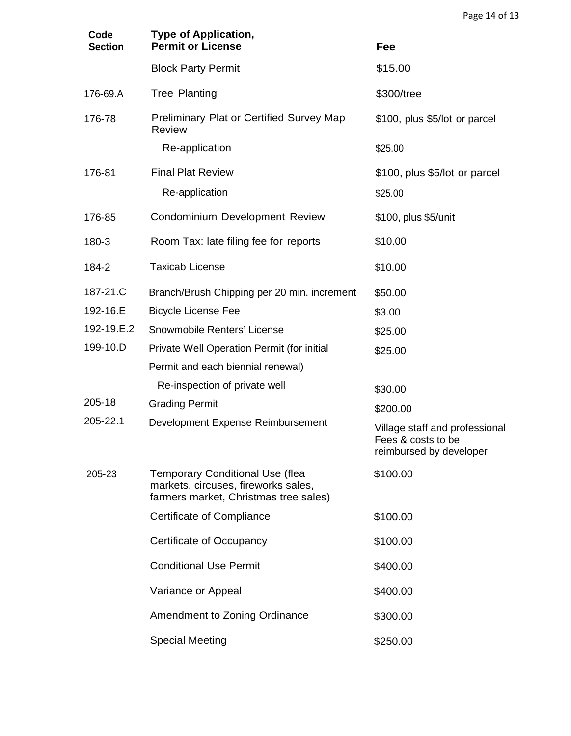| Code<br><b>Section</b> | <b>Type of Application,</b><br><b>Permit or License</b>                                                                | Fee                                                                             |
|------------------------|------------------------------------------------------------------------------------------------------------------------|---------------------------------------------------------------------------------|
|                        | <b>Block Party Permit</b>                                                                                              | \$15.00                                                                         |
| 176-69.A               | <b>Tree Planting</b>                                                                                                   | \$300/tree                                                                      |
| 176-78                 | <b>Preliminary Plat or Certified Survey Map</b><br><b>Review</b>                                                       | \$100, plus \$5/lot or parcel                                                   |
|                        | Re-application                                                                                                         | \$25.00                                                                         |
| 176-81                 | <b>Final Plat Review</b>                                                                                               | \$100, plus \$5/lot or parcel                                                   |
|                        | Re-application                                                                                                         | \$25.00                                                                         |
| 176-85                 | Condominium Development Review                                                                                         | \$100, plus \$5/unit                                                            |
| 180-3                  | Room Tax: late filing fee for reports                                                                                  | \$10.00                                                                         |
| 184-2                  | <b>Taxicab License</b>                                                                                                 | \$10.00                                                                         |
| 187-21.C               | Branch/Brush Chipping per 20 min. increment                                                                            | \$50.00                                                                         |
| 192-16.E               | <b>Bicycle License Fee</b>                                                                                             | \$3.00                                                                          |
| 192-19.E.2             | Snowmobile Renters' License                                                                                            | \$25.00                                                                         |
| 199-10.D               | Private Well Operation Permit (for initial                                                                             | \$25.00                                                                         |
|                        | Permit and each biennial renewal)                                                                                      |                                                                                 |
|                        | Re-inspection of private well                                                                                          | \$30.00                                                                         |
| 205-18                 | <b>Grading Permit</b>                                                                                                  | \$200.00                                                                        |
| 205-22.1               | Development Expense Reimbursement                                                                                      | Village staff and professional<br>Fees & costs to be<br>reimbursed by developer |
| 205-23                 | <b>Temporary Conditional Use (flea</b><br>markets, circuses, fireworks sales,<br>farmers market, Christmas tree sales) | \$100.00                                                                        |
|                        | <b>Certificate of Compliance</b>                                                                                       | \$100.00                                                                        |
|                        | Certificate of Occupancy                                                                                               | \$100.00                                                                        |
|                        | <b>Conditional Use Permit</b>                                                                                          | \$400.00                                                                        |
|                        | Variance or Appeal                                                                                                     | \$400.00                                                                        |
|                        | Amendment to Zoning Ordinance                                                                                          | \$300.00                                                                        |
|                        | <b>Special Meeting</b>                                                                                                 | \$250.00                                                                        |